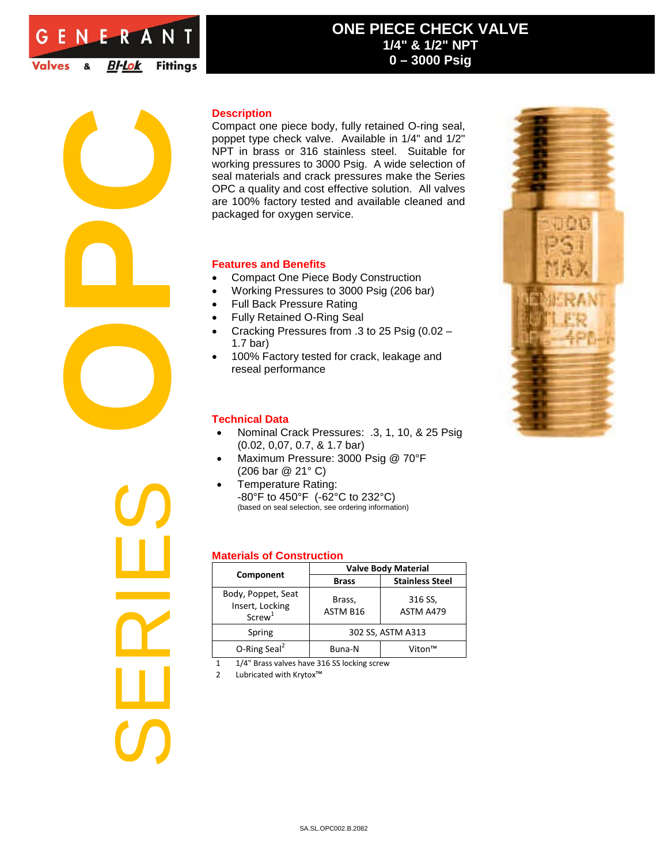

# **ONE PIECE CHECK VALVE 1/4" & 1/2" NPT 0 – 3000 Psig**



Compact one piece body, fully retained O-ring seal, poppet type check valve. Available in 1/4" and 1/2" NPT in brass or 316 stainless steel. Suitable for working pressures to 3000 Psig. A wide selection of seal materials and crack pressures make the Series OPC a quality and cost effective solution. All valves are 100% factory tested and available cleaned and packaged for oxygen service.

### **Features and Benefits**

- Compact One Piece Body Construction
- Working Pressures to 3000 Psig (206 bar)
- Full Back Pressure Rating
- Fully Retained O-Ring Seal
- Cracking Pressures from .3 to 25 Psig (0.02 1.7 bar)
- 100% Factory tested for crack, leakage and reseal performance

#### **Technical Data**

- Nominal Crack Pressures: .3, 1, 10, & 25 Psig (0.02, 0,07, 0.7, & 1.7 bar)
- Maximum Pressure: 3000 Psig @ 70°F (206 bar @ 21° C)
- Temperature Rating: -80°F to 450°F (-62°C to 232°C) (based on seal selection, see ordering information)

## **Materials of Construction**

| <b>Valve Body Material</b> |                        |  |  |
|----------------------------|------------------------|--|--|
| <b>Brass</b>               | <b>Stainless Steel</b> |  |  |
| Brass,<br>ASTM B16         | 316 SS,<br>ASTM A479   |  |  |
| 302 SS, ASTM A313          |                        |  |  |
| Buna-N                     | Viton™                 |  |  |
|                            |                        |  |  |

1 1/4" Brass valves have 316 SS locking screw

2 Lubricated with Krytox<sup>™</sup>